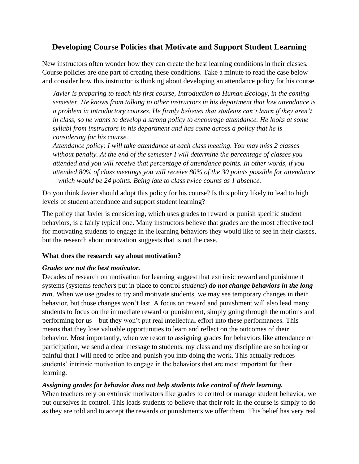# **Developing Course Policies that Motivate and Support Student Learning**

New instructors often wonder how they can create the best learning conditions in their classes. Course policies are one part of creating these conditions. Take a minute to read the case below and consider how this instructor is thinking about developing an attendance policy for his course.

*Javier is preparing to teach his first course, Introduction to Human Ecology, in the coming semester. He knows from talking to other instructors in his department that low attendance is a problem in introductory courses. He firmly believes that students can't learn if they aren't in class, so he wants to develop a strong policy to encourage attendance. He looks at some syllabi from instructors in his department and has come across a policy that he is considering for his course.*

*Attendance policy: I will take attendance at each class meeting. You may miss 2 classes without penalty. At the end of the semester I will determine the percentage of classes you attended and you will receive that percentage of attendance points. In other words, if you attended 80% of class meetings you will receive 80% of the 30 points possible for attendance – which would be 24 points. Being late to class twice counts as 1 absence.*

Do you think Javier should adopt this policy for his course? Is this policy likely to lead to high levels of student attendance and support student learning?

The policy that Javier is considering, which uses grades to reward or punish specific student behaviors, is a fairly typical one. Many instructors believe that grades are the most effective tool for motivating students to engage in the learning behaviors they would like to see in their classes, but the research about motivation suggests that is not the case.

### **What does the research say about motivation?**

#### *Grades are not the best motivator.*

Decades of research on motivation for learning suggest that extrinsic reward and punishment systems (systems *teachers* put in place to control *students*) *do not change behaviors in the long run*. When we use grades to try and motivate students, we may see temporary changes in their behavior, but those changes won't last. A focus on reward and punishment will also lead many students to focus on the immediate reward or punishment, simply going through the motions and performing for us—but they won't put real intellectual effort into these performances. This means that they lose valuable opportunities to learn and reflect on the outcomes of their behavior. Most importantly, when we resort to assigning grades for behaviors like attendance or participation, we send a clear message to students: my class and my discipline are so boring or painful that I will need to bribe and punish you into doing the work. This actually reduces students' intrinsic motivation to engage in the behaviors that are most important for their learning.

### *Assigning grades for behavior does not help students take control of their learning.*

When teachers rely on extrinsic motivators like grades to control or manage student behavior, we put ourselves in control. This leads students to believe that their role in the course is simply to do as they are told and to accept the rewards or punishments we offer them. This belief has very real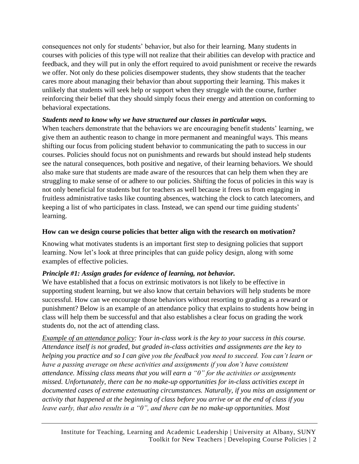consequences not only for students' behavior, but also for their learning. Many students in courses with policies of this type will not realize that their abilities can develop with practice and feedback, and they will put in only the effort required to avoid punishment or receive the rewards we offer. Not only do these policies disempower students, they show students that the teacher cares more about managing their behavior than about supporting their learning. This makes it unlikely that students will seek help or support when they struggle with the course, further reinforcing their belief that they should simply focus their energy and attention on conforming to behavioral expectations.

## *Students need to know why we have structured our classes in particular ways.*

When teachers demonstrate that the behaviors we are encouraging benefit students' learning, we give them an authentic reason to change in more permanent and meaningful ways. This means shifting our focus from policing student behavior to communicating the path to success in our courses. Policies should focus not on punishments and rewards but should instead help students see the natural consequences, both positive and negative, of their learning behaviors. We should also make sure that students are made aware of the resources that can help them when they are struggling to make sense of or adhere to our policies. Shifting the focus of policies in this way is not only beneficial for students but for teachers as well because it frees us from engaging in fruitless administrative tasks like counting absences, watching the clock to catch latecomers, and keeping a list of who participates in class. Instead, we can spend our time guiding students' learning.

### **How can we design course policies that better align with the research on motivation?**

Knowing what motivates students is an important first step to designing policies that support learning. Now let's look at three principles that can guide policy design, along with some examples of effective policies.

# *Principle #1: Assign grades for evidence of learning, not behavior.*

We have established that a focus on extrinsic motivators is not likely to be effective in supporting student learning, but we also know that certain behaviors will help students be more successful. How can we encourage those behaviors without resorting to grading as a reward or punishment? Below is an example of an attendance policy that explains to students how being in class will help them be successful and that also establishes a clear focus on grading the work students do, not the act of attending class.

*Example of an attendance policy: Your in-class work is the key to your success in this course. Attendance itself is not graded, but graded in-class activities and assignments are the key to helping you practice and so I can give you the feedback you need to succeed. You can't learn or have a passing average on these activities and assignments if you don't have consistent attendance. Missing class means that you will earn a "0" for the activities or assignments missed. Unfortunately, there can be no make-up opportunities for in-class activities except in documented cases of extreme extenuating circumstances. Naturally, if you miss an assignment or activity that happened at the beginning of class before you arrive or at the end of class if you leave early, that also results in a "0", and there can be no make-up opportunities. Most*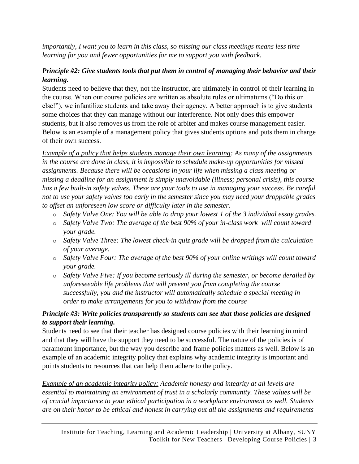*importantly, I want you to learn in this class, so missing our class meetings means less time learning for you and fewer opportunities for me to support you with feedback.*

## *Principle #2: Give students tools that put them in control of managing their behavior and their learning.*

Students need to believe that they, not the instructor, are ultimately in control of their learning in the course. When our course policies are written as absolute rules or ultimatums ("Do this or else!"), we infantilize students and take away their agency. A better approach is to give students some choices that they can manage without our interference. Not only does this empower students, but it also removes us from the role of arbiter and makes course management easier. Below is an example of a management policy that gives students options and puts them in charge of their own success.

*Example of a policy that helps students manage their own learning: As many of the assignments in the course are done in class, it is impossible to schedule make-up opportunities for missed assignments. Because there will be occasions in your life when missing a class meeting or missing a deadline for an assignment is simply unavoidable (illness; personal crisis), this course has a few built-in safety valves. These are your tools to use in managing your success. Be careful not to use your safety valves too early in the semester since you may need your droppable grades to offset an unforeseen low score or difficulty later in the semester.*

- o *Safety Valve One: You will be able to drop your lowest 1 of the 3 individual essay grades.*
- o *Safety Valve Two: The average of the best 90% of your in-class work will count toward your grade.*
- o *Safety Valve Three: The lowest check-in quiz grade will be dropped from the calculation of your average.*
- o *Safety Valve Four: The average of the best 90% of your online writings will count toward your grade.*
- o *Safety Valve Five: If you become seriously ill during the semester, or become derailed by unforeseeable life problems that will prevent you from completing the course successfully, you and the instructor will automatically schedule a special meeting in order to make arrangements for you to withdraw from the course*

## *Principle #3: Write policies transparently so students can see that those policies are designed to support their learning.*

Students need to see that their teacher has designed course policies with their learning in mind and that they will have the support they need to be successful. The nature of the policies is of paramount importance, but the way you describe and frame policies matters as well. Below is an example of an academic integrity policy that explains why academic integrity is important and points students to resources that can help them adhere to the policy.

*Example of an academic integrity policy: Academic honesty and integrity at all levels are essential to maintaining an environment of trust in a scholarly community. These values will be of crucial importance to your ethical participation in a workplace environment as well. Students are on their honor to be ethical and honest in carrying out all the assignments and requirements*